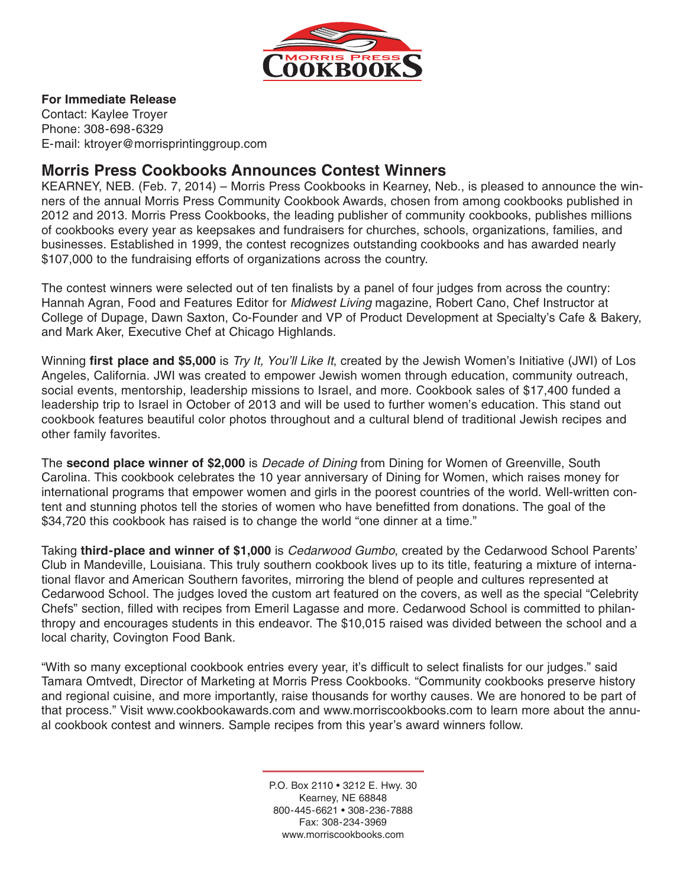

### **For Immediate Release**

Contact: Kaylee Troyer Phone: 308-698-6329 E-mail: ktroyer@morrisprintinggroup.com

## **Morris Press Cookbooks Announces Contest Winners**

KEARNEY, NEB. (Feb. 7, 2014) – Morris Press Cookbooks in Kearney, Neb., is pleased to announce the winners of the annual Morris Press Community Cookbook Awards, chosen from among cookbooks published in 2012 and 2013. Morris Press Cookbooks, the leading publisher of community cookbooks, publishes millions of cookbooks every year as keepsakes and fundraisers for churches, schools, organizations, families, and businesses. Established in 1999, the contest recognizes outstanding cookbooks and has awarded nearly \$107,000 to the fundraising efforts of organizations across the country.

The contest winners were selected out of ten finalists by a panel of four judges from across the country: Hannah Agran, Food and Features Editor for *Midwest Living* magazine, Robert Cano, Chef Instructor at College of Dupage, Dawn Saxton, Co-Founder and VP of Product Development at Specialty's Cafe & Bakery, and Mark Aker, Executive Chef at Chicago Highlands.

Winning **first place and \$5,000** is *Try It, You'll Like It*, created by the Jewish Women's Initiative (JWI) of Los Angeles, California. JWI was created to empower Jewish women through education, community outreach, social events, mentorship, leadership missions to Israel, and more. Cookbook sales of \$17,400 funded a leadership trip to Israel in October of 2013 and will be used to further women's education. This stand out cookbook features beautiful color photos throughout and a cultural blend of traditional Jewish recipes and other family favorites.

The **second place winner of \$2,000** is *Decade of Dining* from Dining for Women of Greenville, South Carolina. This cookbook celebrates the 10 year anniversary of Dining for Women, which raises money for international programs that empower women and girls in the poorest countries of the world. Well-written content and stunning photos tell the stories of women who have benefitted from donations. The goal of the \$34,720 this cookbook has raised is to change the world "one dinner at a time."

Taking **third-place and winner of \$1,000** is *Cedarwood Gumbo*, created by the Cedarwood School Parents' Club in Mandeville, Louisiana. This truly southern cookbook lives up to its title, featuring a mixture of international flavor and American Southern favorites, mirroring the blend of people and cultures represented at Cedarwood School. The judges loved the custom art featured on the covers, as well as the special "Celebrity Chefs" section, filled with recipes from Emeril Lagasse and more. Cedarwood School is committed to philanthropy and encourages students in this endeavor. The \$10,015 raised was divided between the school and a local charity, Covington Food Bank.

"With so many exceptional cookbook entries every year, it's difficult to select finalists for our judges." said Tamara Omtvedt, Director of Marketing at Morris Press Cookbooks. "Community cookbooks preserve history and regional cuisine, and more importantly, raise thousands for worthy causes. We are honored to be part of that process." Visit www.cookbookawards.com and www.morriscookbooks.com to learn more about the annual cookbook contest and winners. Sample recipes from this year's award winners follow.

> P.O. Box 2110 • 3212 E. Hwy. 30 Kearney, NE 68848 800-445-6621 • 308-236-7888 Fax: 308-234-3969 www.morriscookbooks.com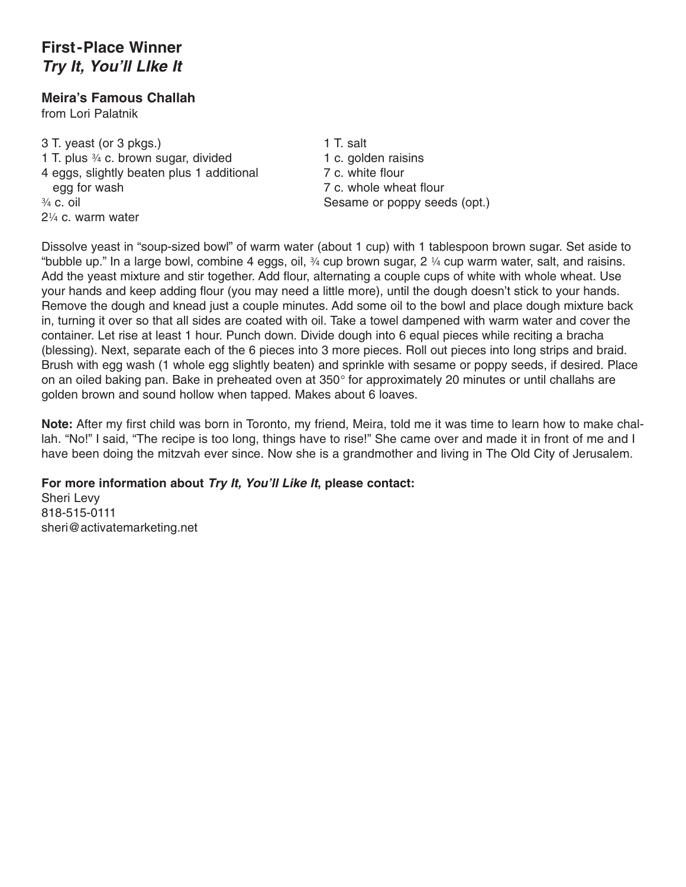# **First-Place Winner** *Try It, You'll LIke It*

### **Meira's Famous Challah**

from Lori Palatnik

3 T. yeast (or 3 pkgs.)<br>1 T. plus  $\frac{3}{4}$  c. brown sugar, divided 1 c. golden raisins 1 T. plus  $\frac{3}{4}$  c. brown sugar, divided 4 eggs, slightly beaten plus 1 additional 7 c. white flour egg for wash **7 c. whole wheat flour** ¾ c. oil Sesame or poppy seeds (opt.) 2¼ c. warm water

Dissolve yeast in "soup-sized bowl" of warm water (about 1 cup) with 1 tablespoon brown sugar. Set aside to "bubble up." In a large bowl, combine 4 eggs, oil,  $\frac{3}{4}$  cup brown sugar, 2  $\frac{1}{4}$  cup warm water, salt, and raisins. Add the yeast mixture and stir together. Add flour, alternating a couple cups of white with whole wheat. Use your hands and keep adding flour (you may need a little more), until the dough doesn't stick to your hands. Remove the dough and knead just a couple minutes. Add some oil to the bowl and place dough mixture back in, turning it over so that all sides are coated with oil. Take a towel dampened with warm water and cover the container. Let rise at least 1 hour. Punch down. Divide dough into 6 equal pieces while reciting a bracha (blessing). Next, separate each of the 6 pieces into 3 more pieces. Roll out pieces into long strips and braid. Brush with egg wash (1 whole egg slightly beaten) and sprinkle with sesame or poppy seeds, if desired. Place on an oiled baking pan. Bake in preheated oven at 350° for approximately 20 minutes or until challahs are golden brown and sound hollow when tapped. Makes about 6 loaves.

**Note:** After my first child was born in Toronto, my friend, Meira, told me it was time to learn how to make challah. "No!" I said, "The recipe is too long, things have to rise!" She came over and made it in front of me and I have been doing the mitzvah ever since. Now she is a grandmother and living in The Old City of Jerusalem.

#### **For more information about** *Try It, You'll Like It***, please contact:**

Sheri Levy 818-515-0111 sheri@activatemarketing.net